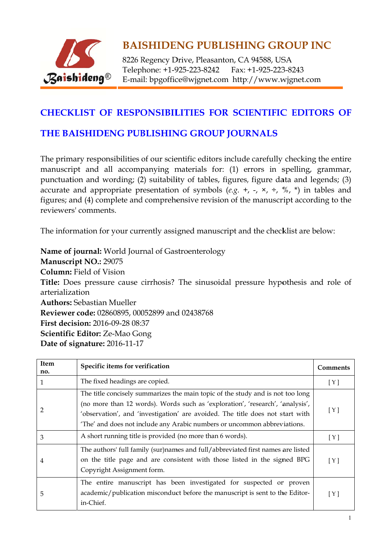

8226 Regency Drive, Pleasanton, CA 94588, USA Telephone: +1-925-223-8242 Fax: +1-925-223-8243 E-mail: bpgoffice@wjgnet.com http://www.wjgnet.com

#### **CHECKLIST OF RESPONSIBILITIES FOR SCIENTIFIC EDITORS OF**

#### THE BAISHIDENG PUBLISHING GROUP JOURNALS

The primary responsibilities of our scientific editors include carefully checking the entire manuscript and all accompanying materials for: (1) errors in spelling, grammar, punctuation and wording; (2) suitability of tables, figures, figure data and legends; (3) accurate and appropriate presentation of symbols (e.g. +, -,  $\times$ ,  $\div$ ,  $\%$ ,  $\ast$ ) in tables and figures; and (4) complete and comprehensive revision of the manuscript according to the reviewers' comments.

The information for your currently assigned manuscript and the checklist are below:

Name of journal: World Journal of Gastroenterology Manuscript NO.: 29075 **Column:** Field of Vision Title: Does pressure cause cirrhosis? The sinusoidal pressure hypothesis and role of arterialization **Authors: Sebastian Mueller** Reviewer code: 02860895, 00052899 and 02438768 **First decision: 2016-09-28 08:37** Scientific Editor: Ze-Mao Gong Date of signature: 2016-11-17

| Item<br>no. | Specific items for verification                                                                                                                                                                                                                                                                                              | Comments |
|-------------|------------------------------------------------------------------------------------------------------------------------------------------------------------------------------------------------------------------------------------------------------------------------------------------------------------------------------|----------|
| 1           | The fixed headings are copied.                                                                                                                                                                                                                                                                                               | [Y]      |
| 2           | The title concisely summarizes the main topic of the study and is not too long<br>(no more than 12 words). Words such as 'exploration', 'research', 'analysis',<br>'observation', and 'investigation' are avoided. The title does not start with<br>'The' and does not include any Arabic numbers or uncommon abbreviations. | [Y]      |
| 3           | A short running title is provided (no more than 6 words).                                                                                                                                                                                                                                                                    | [Y]      |
| 4           | The authors' full family (sur)names and full/abbreviated first names are listed<br>on the title page and are consistent with those listed in the signed BPG<br>Copyright Assignment form.                                                                                                                                    | [ Y ]    |
| 5           | The entire manuscript has been investigated for suspected or proven<br>academic/publication misconduct before the manuscript is sent to the Editor-<br>in-Chief.                                                                                                                                                             | [ Y ]    |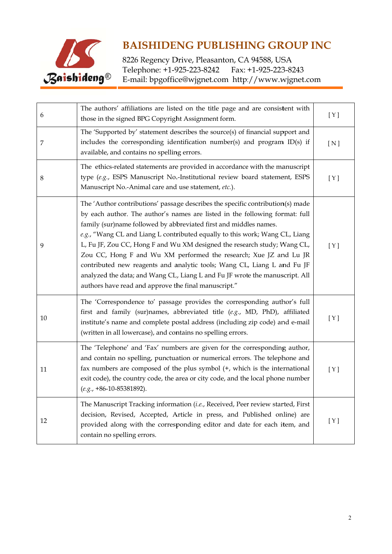

| 6              | The authors' affiliations are listed on the title page and are consistent with<br>those in the signed BPG Copyright Assignment form.                                                                                                                                                                                                                                                                                                                                                                                                                                                                                                                                                 | [ Y ] |
|----------------|--------------------------------------------------------------------------------------------------------------------------------------------------------------------------------------------------------------------------------------------------------------------------------------------------------------------------------------------------------------------------------------------------------------------------------------------------------------------------------------------------------------------------------------------------------------------------------------------------------------------------------------------------------------------------------------|-------|
| $\overline{7}$ | The 'Supported by' statement describes the source(s) of financial support and<br>includes the corresponding identification number(s) and program ID(s) if<br>available, and contains no spelling errors.                                                                                                                                                                                                                                                                                                                                                                                                                                                                             | [N]   |
| 8              | The ethics-related statements are provided in accordance with the manuscript<br>type (e.g., ESPS Manuscript No.-Institutional review board statement, ESPS<br>Manuscript No.-Animal care and use statement, etc.).                                                                                                                                                                                                                                                                                                                                                                                                                                                                   | [ Y ] |
| 9              | The 'Author contributions' passage describes the specific contribution(s) made<br>by each author. The author's names are listed in the following format: full<br>family (sur)name followed by abbreviated first and middles names.<br>e.g., "Wang CL and Liang L contributed equally to this work; Wang CL, Liang<br>L, Fu JF, Zou CC, Hong F and Wu XM designed the research study; Wang CL,<br>Zou CC, Hong F and Wu XM performed the research; Xue JZ and Lu JR<br>contributed new reagents and analytic tools; Wang CL, Liang L and Fu JF<br>analyzed the data; and Wang CL, Liang L and Fu JF wrote the manuscript. All<br>authors have read and approve the final manuscript." | [Y]   |
| 10             | The 'Correspondence to' passage provides the corresponding author's full<br>first and family (sur)names, abbreviated title (e.g., MD, PhD), affiliated<br>institute's name and complete postal address (including zip code) and e-mail<br>(written in all lowercase), and contains no spelling errors.                                                                                                                                                                                                                                                                                                                                                                               | [Y]   |
| 11             | The 'Telephone' and 'Fax' numbers are given for the corresponding author,<br>and contain no spelling, punctuation or numerical errors. The telephone and<br>fax numbers are composed of the plus symbol (+, which is the international<br>exit code), the country code, the area or city code, and the local phone number<br>$(e.g., +86-10-85381892).$                                                                                                                                                                                                                                                                                                                              | [ Y ] |
| 12             | The Manuscript Tracking information (i.e., Received, Peer review started, First<br>decision, Revised, Accepted, Article in press, and Published online) are<br>provided along with the corresponding editor and date for each item, and<br>contain no spelling errors.                                                                                                                                                                                                                                                                                                                                                                                                               | [ Y ] |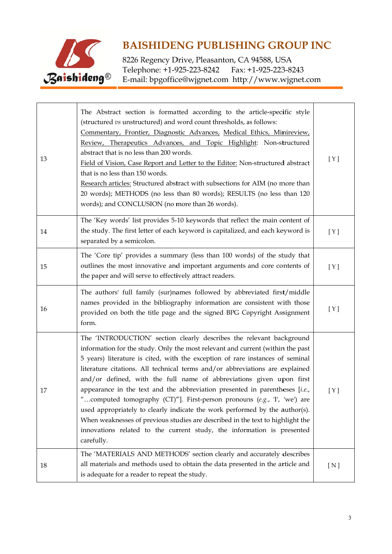

| 13 | The Abstract section is formatted according to the article-specific style<br>(structured vs unstructured) and word count thresholds, as follows:<br>Commentary, Frontier, Diagnostic Advances, Medical Ethics, Minireview,<br>Review, Therapeutics Advances, and Topic Highlight: Non-structured<br>abstract that is no less than 200 words.<br>Field of Vision, Case Report and Letter to the Editor: Non-structured abstract<br>that is no less than 150 words.<br>Research articles: Structured abstract with subsections for AIM (no more than<br>20 words); METHODS (no less than 80 words); RESULTS (no less than 120<br>words); and CONCLUSION (no more than 26 words).                                                                                                                                     | [Y]   |
|----|--------------------------------------------------------------------------------------------------------------------------------------------------------------------------------------------------------------------------------------------------------------------------------------------------------------------------------------------------------------------------------------------------------------------------------------------------------------------------------------------------------------------------------------------------------------------------------------------------------------------------------------------------------------------------------------------------------------------------------------------------------------------------------------------------------------------|-------|
| 14 | The 'Key words' list provides 5-10 keywords that reflect the main content of<br>the study. The first letter of each keyword is capitalized, and each keyword is<br>separated by a semicolon.                                                                                                                                                                                                                                                                                                                                                                                                                                                                                                                                                                                                                       | [Y]   |
| 15 | The 'Core tip' provides a summary (less than 100 words) of the study that<br>outlines the most innovative and important arguments and core contents of<br>the paper and will serve to effectively attract readers.                                                                                                                                                                                                                                                                                                                                                                                                                                                                                                                                                                                                 | [ Y ] |
| 16 | The authors' full family (sur)names followed by abbreviated first/middle<br>names provided in the bibliography information are consistent with those<br>provided on both the title page and the signed BPG Copyright Assignment<br>form.                                                                                                                                                                                                                                                                                                                                                                                                                                                                                                                                                                           | [Y]   |
| 17 | The 'INTRODUCTION' section clearly describes the relevant background<br>information for the study. Only the most relevant and current (within the past<br>5 years) literature is cited, with the exception of rare instances of seminal<br>literature citations. All technical terms and/or abbreviations are explained<br>and/or defined, with the full name of abbreviations given upon first<br>appearance in the text and the abbreviation presented in parentheses [i.e.,<br>computed tomography (CT)"]. First-person pronouns (e.g., 'I', 'we') are<br>used appropriately to clearly indicate the work performed by the author(s).<br>When weaknesses of previous studies are described in the text to highlight the<br>innovations related to the current study, the information is presented<br>carefully. | [ Y ] |
| 18 | The 'MATERIALS AND METHODS' section clearly and accurately describes<br>all materials and methods used to obtain the data presented in the article and<br>is adequate for a reader to repeat the study.                                                                                                                                                                                                                                                                                                                                                                                                                                                                                                                                                                                                            | [N]   |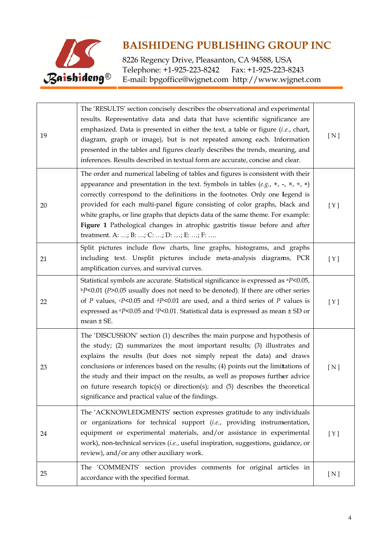

| 19 | The 'RESULTS' section concisely describes the observational and experimental<br>results. Representative data and data that have scientific significance are<br>emphasized. Data is presented in either the text, a table or figure $(i.e.,$ chart,<br>diagram, graph or image), but is not repeated among each. Information<br>presented in the tables and figures clearly describes the trends, meaning, and<br>inferences. Results described in textual form are accurate, concise and clear.                                                   | [N]   |
|----|---------------------------------------------------------------------------------------------------------------------------------------------------------------------------------------------------------------------------------------------------------------------------------------------------------------------------------------------------------------------------------------------------------------------------------------------------------------------------------------------------------------------------------------------------|-------|
| 20 | The order and numerical labeling of tables and figures is consistent with their<br>appearance and presentation in the text. Symbols in tables $(e.g., +, -, x, \div, *)$<br>correctly correspond to the definitions in the footnotes. Only one legend is<br>provided for each multi-panel figure consisting of color graphs, black and<br>white graphs, or line graphs that depicts data of the same theme. For example:<br>Figure 1 Pathological changes in atrophic gastritis tissue before and after<br>treatment. A: ; B: ; C: ; D: ; E: ; F: | [Y]   |
| 21 | Split pictures include flow charts, line graphs, histograms, and graphs<br>including text. Unsplit pictures include meta-analysis diagrams, PCR<br>amplification curves, and survival curves.                                                                                                                                                                                                                                                                                                                                                     | [Y]   |
| 22 | Statistical symbols are accurate. Statistical significance is expressed as <sup>a</sup> P<0.05,<br>$bP<0.01$ (P>0.05 usually does not need to be denoted). If there are other series<br>of P values, $\epsilon P$ <0.05 and $\epsilon P$ <0.01 are used, and a third series of P values is<br>expressed as $\text{e}P$ <0.05 and $\text{f}P$ <0.01. Statistical data is expressed as mean $\pm$ SD or<br>mean $\pm$ SE.                                                                                                                           | [ Y ] |
| 23 | The 'DISCUSSION' section (1) describes the main purpose and hypothesis of<br>the study; (2) summarizes the most important results; (3) illustrates and<br>explains the results (but does not simply repeat the data) and draws<br>conclusions or inferences based on the results; (4) points out the limitations of<br>the study and their impact on the results, as well as proposes further advice<br>on future research topic(s) or direction(s); and (5) describes the theoretical<br>significance and practical value of the findings.       | [ N ] |
| 24 | The 'ACKNOWLEDGMENTS' section expresses gratitude to any individuals<br>or organizations for technical support (i.e., providing instrumentation,<br>equipment or experimental materials, and/or assistance in experimental<br>work), non-technical services (i.e., useful inspiration, suggestions, guidance, or<br>review), and/or any other auxiliary work.                                                                                                                                                                                     | [Y]   |
| 25 | The 'COMMENTS' section provides comments for original articles in<br>accordance with the specified format.                                                                                                                                                                                                                                                                                                                                                                                                                                        | [ N ] |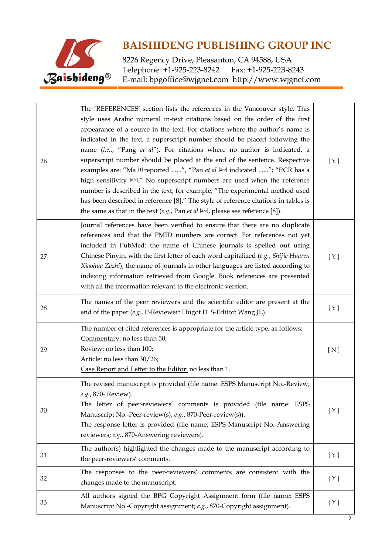

| 26 | The 'REFERENCES' section lists the references in the Vancouver style. This<br>style uses Arabic numeral in-text citations based on the order of the first<br>appearance of a source in the text. For citations where the author's name is<br>indicated in the text, a superscript number should be placed following the<br>name (i.e, "Pang et al"). For citations where no author is indicated, a<br>superscript number should be placed at the end of the sentence. Respective<br>examples are: "Ma [1] reported ", "Pan et al [2-5] indicated "; "PCR has a<br>high sensitivity [6,9]." No superscript numbers are used when the reference<br>number is described in the text; for example, "The experimental method used<br>has been described in reference [8]." The style of reference citations in tables is<br>the same as that in the text (e.g., Pan et al $[2-5]$ , please see reference [8]). | [Y] |
|----|-----------------------------------------------------------------------------------------------------------------------------------------------------------------------------------------------------------------------------------------------------------------------------------------------------------------------------------------------------------------------------------------------------------------------------------------------------------------------------------------------------------------------------------------------------------------------------------------------------------------------------------------------------------------------------------------------------------------------------------------------------------------------------------------------------------------------------------------------------------------------------------------------------------|-----|
| 27 | Journal references have been verified to ensure that there are no duplicate<br>references and that the PMID numbers are correct. For references not yet<br>included in PubMed: the name of Chinese journals is spelled out using<br>Chinese Pinyin, with the first letter of each word capitalized (e.g., Shijie Huaren<br>Xiaohua Zazhi); the name of journals in other languages are listed according to<br>indexing information retrieved from Google. Book references are presented<br>with all the information relevant to the electronic version.                                                                                                                                                                                                                                                                                                                                                   | [Y] |
| 28 | The names of the peer reviewers and the scientific editor are present at the<br>end of the paper (e.g., P-Reviewer: Hugot D S-Editor: Wang JL).                                                                                                                                                                                                                                                                                                                                                                                                                                                                                                                                                                                                                                                                                                                                                           | [Y] |
| 29 | The number of cited references is appropriate for the article type, as follows:<br>Commentary: no less than 50;<br>Review: no less than 100;<br>Article: no less than 30/26;<br>Case Report and Letter to the Editor: no less than 1.                                                                                                                                                                                                                                                                                                                                                                                                                                                                                                                                                                                                                                                                     | [N] |
| 30 | The revised manuscript is provided (file name: ESPS Manuscript No.-Review;<br>e.g., 870- Review).<br>The letter of peer-reviewers' comments is provided (file name: ESPS<br>Manuscript No.-Peer-review(s); e.g., 870-Peer-review(s)).<br>The response letter is provided (file name: ESPS Manuscript No.-Answering<br>reviewers; e.g., 870-Answering reviewers).                                                                                                                                                                                                                                                                                                                                                                                                                                                                                                                                          | [Y] |
| 31 | The author(s) highlighted the changes made to the manuscript according to<br>the peer-reviewers' comments.                                                                                                                                                                                                                                                                                                                                                                                                                                                                                                                                                                                                                                                                                                                                                                                                | [Y] |
| 32 | The responses to the peer-reviewers' comments are consistent with the<br>changes made to the manuscript.                                                                                                                                                                                                                                                                                                                                                                                                                                                                                                                                                                                                                                                                                                                                                                                                  | [Y] |
| 33 | All authors signed the BPG Copyright Assignment form (file name: ESPS<br>Manuscript No.-Copyright assignment; e.g., 870-Copyright assignment).                                                                                                                                                                                                                                                                                                                                                                                                                                                                                                                                                                                                                                                                                                                                                            | [Y] |